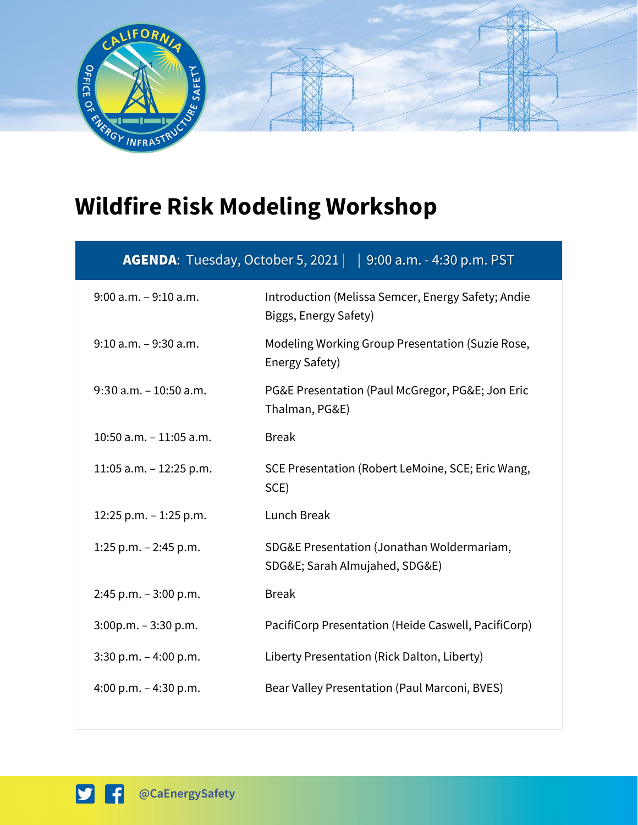

## **Wildfire Risk Modeling Workshop**

| <b>AGENDA</b> : Tuesday, October 5, 2021     9:00 a.m. - 4:30 p.m. PST |  |
|------------------------------------------------------------------------|--|
|                                                                        |  |

| $9:00$ a.m. $-9:10$ a.m.  | Introduction (Melissa Semcer, Energy Safety; Andie<br>Biggs, Energy Safety) |
|---------------------------|-----------------------------------------------------------------------------|
| $9:10$ a.m. $-9:30$ a.m.  | Modeling Working Group Presentation (Suzie Rose,<br>Energy Safety)          |
| $9:30$ a.m. $-10:50$ a.m. | PG&E Presentation (Paul McGregor, PG&E Jon Eric<br>Thalman, PG&E)           |
| 10:50 a.m. $-$ 11:05 a.m. | <b>Break</b>                                                                |
| 11:05 a.m. $-$ 12:25 p.m. | SCE Presentation (Robert LeMoine, SCE; Eric Wang,<br>SCE)                   |
| 12:25 p.m. - 1:25 p.m.    | Lunch Break                                                                 |
| 1:25 p.m. $-$ 2:45 p.m.   | SDG&E Presentation (Jonathan Woldermariam,<br>SDG&E Sarah Almujahed, SDG&E) |
| $2:45$ p.m. $-3:00$ p.m.  | <b>Break</b>                                                                |
| $3:00p.m. - 3:30 p.m.$    | PacifiCorp Presentation (Heide Caswell, PacifiCorp)                         |
| $3:30$ p.m. $-4:00$ p.m.  | Liberty Presentation (Rick Dalton, Liberty)                                 |
| 4:00 p.m. $-$ 4:30 p.m.   | Bear Valley Presentation (Paul Marconi, BVES)                               |